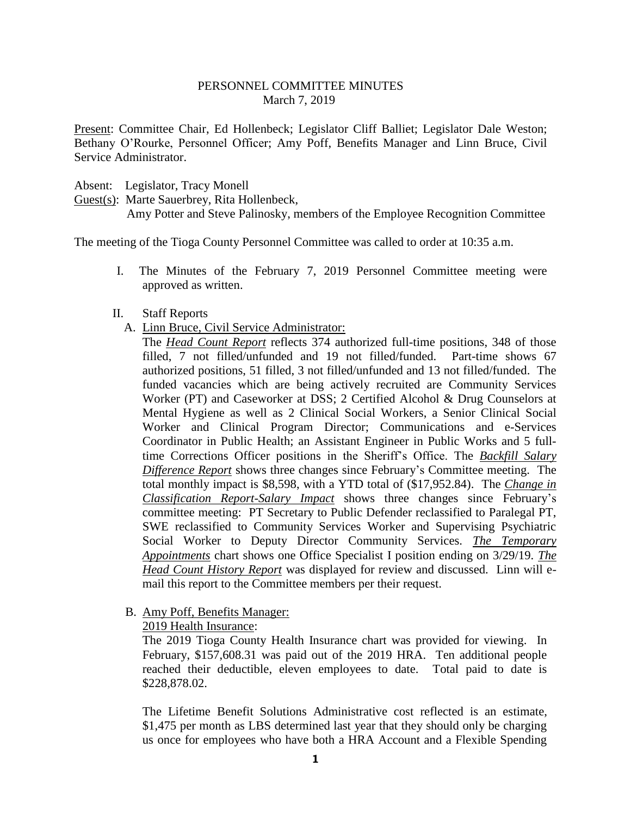#### PERSONNEL COMMITTEE MINUTES March 7, 2019

Present: Committee Chair, Ed Hollenbeck; Legislator Cliff Balliet; Legislator Dale Weston; Bethany O'Rourke, Personnel Officer; Amy Poff, Benefits Manager and Linn Bruce, Civil Service Administrator.

Absent: Legislator, Tracy Monell

Guest(s): Marte Sauerbrey, Rita Hollenbeck, Amy Potter and Steve Palinosky, members of the Employee Recognition Committee

The meeting of the Tioga County Personnel Committee was called to order at 10:35 a.m.

I. The Minutes of the February 7, 2019 Personnel Committee meeting were approved as written.

#### II. Staff Reports

A. Linn Bruce, Civil Service Administrator:

The *Head Count Report* reflects 374 authorized full-time positions, 348 of those filled, 7 not filled/unfunded and 19 not filled/funded. Part-time shows 67 authorized positions, 51 filled, 3 not filled/unfunded and 13 not filled/funded. The funded vacancies which are being actively recruited are Community Services Worker (PT) and Caseworker at DSS; 2 Certified Alcohol & Drug Counselors at Mental Hygiene as well as 2 Clinical Social Workers, a Senior Clinical Social Worker and Clinical Program Director; Communications and e-Services Coordinator in Public Health; an Assistant Engineer in Public Works and 5 fulltime Corrections Officer positions in the Sheriff's Office. The *Backfill Salary Difference Report* shows three changes since February's Committee meeting. The total monthly impact is \$8,598, with a YTD total of (\$17,952.84). The *Change in Classification Report-Salary Impact* shows three changes since February's committee meeting: PT Secretary to Public Defender reclassified to Paralegal PT, SWE reclassified to Community Services Worker and Supervising Psychiatric Social Worker to Deputy Director Community Services. *The Temporary Appointments* chart shows one Office Specialist I position ending on 3/29/19. *The Head Count History Report* was displayed for review and discussed. Linn will email this report to the Committee members per their request.

# B. Amy Poff, Benefits Manager:

2019 Health Insurance:

The 2019 Tioga County Health Insurance chart was provided for viewing. In February, \$157,608.31 was paid out of the 2019 HRA. Ten additional people reached their deductible, eleven employees to date. Total paid to date is \$228,878.02.

The Lifetime Benefit Solutions Administrative cost reflected is an estimate, \$1,475 per month as LBS determined last year that they should only be charging us once for employees who have both a HRA Account and a Flexible Spending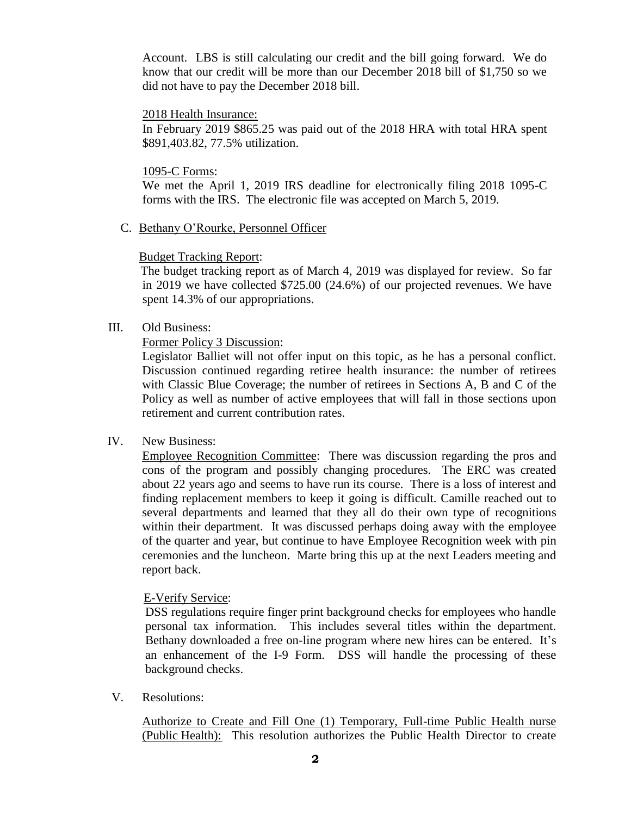Account. LBS is still calculating our credit and the bill going forward. We do know that our credit will be more than our December 2018 bill of \$1,750 so we did not have to pay the December 2018 bill.

#### 2018 Health Insurance:

In February 2019 \$865.25 was paid out of the 2018 HRA with total HRA spent \$891,403.82, 77.5% utilization.

#### 1095-C Forms:

We met the April 1, 2019 IRS deadline for electronically filing 2018 1095-C forms with the IRS. The electronic file was accepted on March 5, 2019.

C. Bethany O'Rourke, Personnel Officer

#### Budget Tracking Report:

 The budget tracking report as of March 4, 2019 was displayed for review. So far in 2019 we have collected \$725.00 (24.6%) of our projected revenues. We have spent 14.3% of our appropriations.

III. Old Business:

### Former Policy 3 Discussion:

Legislator Balliet will not offer input on this topic, as he has a personal conflict. Discussion continued regarding retiree health insurance: the number of retirees with Classic Blue Coverage; the number of retirees in Sections A, B and C of the Policy as well as number of active employees that will fall in those sections upon retirement and current contribution rates.

## IV. New Business:

Employee Recognition Committee: There was discussion regarding the pros and cons of the program and possibly changing procedures. The ERC was created about 22 years ago and seems to have run its course. There is a loss of interest and finding replacement members to keep it going is difficult. Camille reached out to several departments and learned that they all do their own type of recognitions within their department. It was discussed perhaps doing away with the employee of the quarter and year, but continue to have Employee Recognition week with pin ceremonies and the luncheon. Marte bring this up at the next Leaders meeting and report back.

## E-Verify Service:

 DSS regulations require finger print background checks for employees who handle personal tax information. This includes several titles within the department. Bethany downloaded a free on-line program where new hires can be entered. It's an enhancement of the I-9 Form. DSS will handle the processing of these background checks.

V. Resolutions:

Authorize to Create and Fill One (1) Temporary, Full-time Public Health nurse (Public Health): This resolution authorizes the Public Health Director to create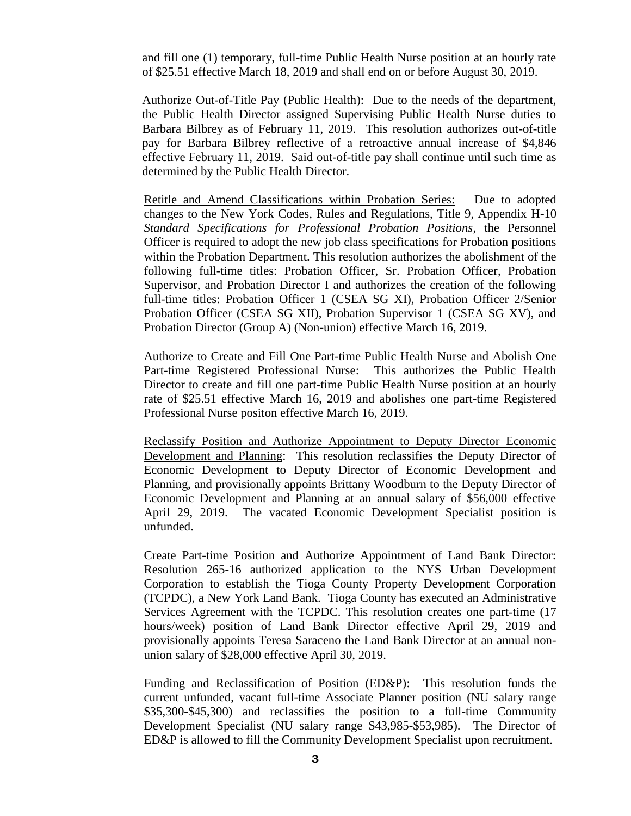and fill one (1) temporary, full-time Public Health Nurse position at an hourly rate of \$25.51 effective March 18, 2019 and shall end on or before August 30, 2019.

Authorize Out-of-Title Pay (Public Health): Due to the needs of the department, the Public Health Director assigned Supervising Public Health Nurse duties to Barbara Bilbrey as of February 11, 2019. This resolution authorizes out-of-title pay for Barbara Bilbrey reflective of a retroactive annual increase of \$4,846 effective February 11, 2019. Said out-of-title pay shall continue until such time as determined by the Public Health Director.

Retitle and Amend Classifications within Probation Series: Due to adopted changes to the New York Codes, Rules and Regulations, Title 9, Appendix H-10 *Standard Specifications for Professional Probation Positions*, the Personnel Officer is required to adopt the new job class specifications for Probation positions within the Probation Department. This resolution authorizes the abolishment of the following full-time titles: Probation Officer, Sr. Probation Officer, Probation Supervisor, and Probation Director I and authorizes the creation of the following full-time titles: Probation Officer 1 (CSEA SG XI), Probation Officer 2/Senior Probation Officer (CSEA SG XII), Probation Supervisor 1 (CSEA SG XV), and Probation Director (Group A) (Non-union) effective March 16, 2019.

Authorize to Create and Fill One Part-time Public Health Nurse and Abolish One Part-time Registered Professional Nurse: This authorizes the Public Health Director to create and fill one part-time Public Health Nurse position at an hourly rate of \$25.51 effective March 16, 2019 and abolishes one part-time Registered Professional Nurse positon effective March 16, 2019.

Reclassify Position and Authorize Appointment to Deputy Director Economic Development and Planning: This resolution reclassifies the Deputy Director of Economic Development to Deputy Director of Economic Development and Planning, and provisionally appoints Brittany Woodburn to the Deputy Director of Economic Development and Planning at an annual salary of \$56,000 effective April 29, 2019. The vacated Economic Development Specialist position is unfunded.

Create Part-time Position and Authorize Appointment of Land Bank Director: Resolution 265-16 authorized application to the NYS Urban Development Corporation to establish the Tioga County Property Development Corporation (TCPDC), a New York Land Bank. Tioga County has executed an Administrative Services Agreement with the TCPDC. This resolution creates one part-time (17 hours/week) position of Land Bank Director effective April 29, 2019 and provisionally appoints Teresa Saraceno the Land Bank Director at an annual nonunion salary of \$28,000 effective April 30, 2019.

Funding and Reclassification of Position (ED&P): This resolution funds the current unfunded, vacant full-time Associate Planner position (NU salary range \$35,300-\$45,300) and reclassifies the position to a full-time Community Development Specialist (NU salary range \$43,985-\$53,985). The Director of ED&P is allowed to fill the Community Development Specialist upon recruitment.